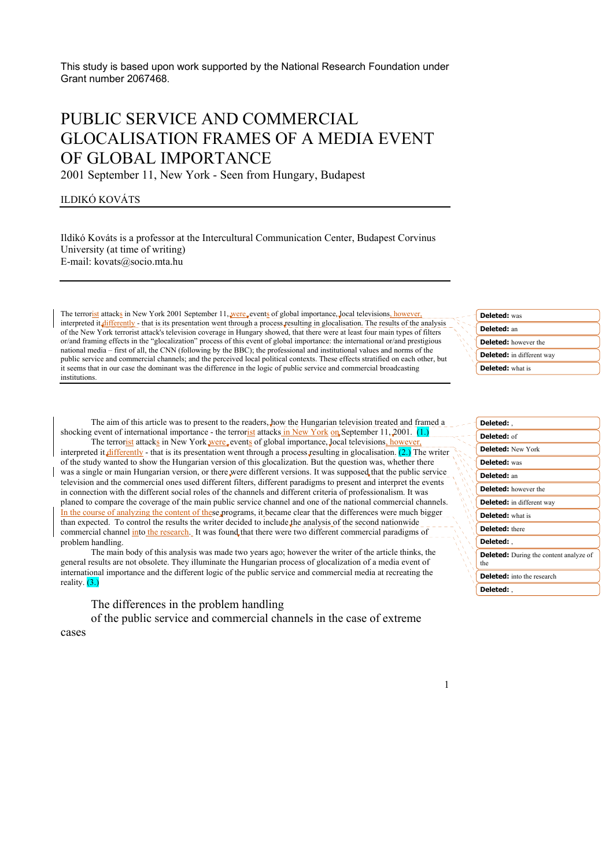This study is based upon work supported by the National Research Foundation under Grant number 2067468.

# PUBLIC SERVICE AND COMMERCIAL GLOCALISATION FRAMES OF A MEDIA EVENT OF GLOBAL IMPORTANCE

2001 September 11, New York - Seen from Hungary, Budapest

## ILDIKÓ KOVÁTS

Ildikó Kováts is a professor at the Intercultural Communication Center, Budapest Corvinus University (at time of writing) E-mail: kovats@socio.mta.hu

The terrorist attacks in New York 2001 September 11, were events of global importance, local televisions, however, interpreted it differently - that is its presentation went through a process resulting in glocalisation. The results of the analysis of the New York terrorist attack's television coverage in Hungary showed, that there were at least four main types of filters or/and framing effects in the "glocalization" process of this event of global importance: the international or/and prestigious national media – first of all, the CNN (following by the BBC); the professional and institutional values and norms of the public service and commercial channels; and the perceived local political contexts. These effects stratified on each other, but it seems that in our case the dominant was the difference in the logic of public service and commercial broadcasting institutions.

The aim of this article was to present to the readers, how the Hungarian television treated and framed a shocking event of international importance - the terrorist attacks in New York on September 11, 2001. (1.)

The terrorist attacks in New York were, events of global importance, local televisions, how interpreted it differently - that is its presentation went through a process resulting in glocalisation.  $(2)$  The writer of the study wanted to show the Hungarian version of this glocalization. But the question was, whether there was a single or main Hungarian version, or there were different versions. It was supposed that the public service television and the commercial ones used different filters, different paradigms to present and interpret the events in connection with the different social roles of the channels and different criteria of professionalism. It was planed to compare the coverage of the main public service channel and one of the national commercial channels. In the course of analyzing the content of these programs, it became clear that the differences were much bigger than expected. To control the results the writer decided to include the analysis of the second nationwide commercial channel into the research. It was found that there were two different commercial paradigms of problem handling.

The main body of this analysis was made two years ago; however the writer of the article thinks, the general results are not obsolete. They illuminate the Hungarian process of glocalization of a media event of international importance and the different logic of the public service and commercial media at recreating the reality.  $(3.)$ 

The differences in the problem handling

of the public service and commercial channels in the case of extreme cases

**Deleted:** was **Deleted:** an **Deleted:** however the **Deleted:** in different way **Deleted:** what is

| Deleted:                                             |
|------------------------------------------------------|
| Deleted: of                                          |
| <b>Deleted:</b> New York                             |
| <b>Deleted:</b> was                                  |
| Deleted: an                                          |
| <b>Deleted:</b> however the                          |
| <b>Deleted:</b> in different way                     |
| <b>Deleted:</b> what is                              |
| <b>Deleted:</b> there                                |
| Deleted:                                             |
| <b>Deleted:</b> During the content analyze of<br>the |
| <b>Deleted:</b> into the research                    |
| Deleted: .                                           |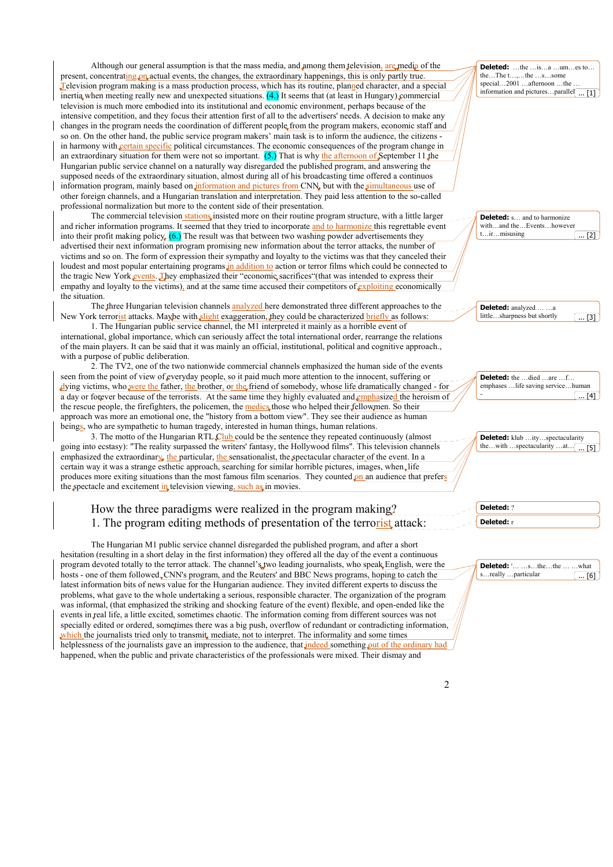Although our general assumption is that the mass media, and among them television, are media of the present, concentrating on actual events, the changes, the extraordinary happenings, this is only partly true. Television program making is a mass production process, which has its routine, planned character, and a special inertia when meeting really new and unexpected situations. (4.) It seems that (at least in Hungary) commercial television is much more embodied into its institutional and economic environment, perhaps because of the intensive competition, and they focus their attention first of all to the advertisers' needs. A decision to make any changes in the program needs the coordination of different people from the program makers, economic staff and so on. On the other hand, the public service program makers' main task is to inform the audience, the citizens in harmony with certain specific political circumstances. The economic consequences of the program change in an extraordinary situation for them were not so important. (5.) That is why the afternoon of September 11 the Hungarian public service channel on a naturally way disregarded the published program, and answering the supposed needs of the extraordinary situation, almost during all of his broadcasting time offered a continuos information program, mainly based on information and pictures from CNN, but with the simultaneous use of other foreign channels, and a Hungarian translation and interpretation. They paid less attention to the so-called professional normalization but more to the content side of their presentation.

The commercial television stations insisted more on their routine program structure, with a little larger and richer information programs. It seemed that they tried to incorporate and to harmonize this regrettable event into their profit making policy.  $(6)$  The result was that between two washing powder advertisements they advertised their next information program promising new information about the terror attacks, the number of victims and so on. The form of expression their sympathy and loyalty to the victims was that they canceled their loudest and most popular entertaining programs in addition to action or terror films which could be connected to

the tragic New York events. They emphasized their "economic sacrifices" (that was intended to express their empathy and loyalty to the victims), and at the same time accused their competitors of exploiting economically the situation.

The three Hungarian television channels analyzed here demonstrated three different approaches to the New York terrorist attacks. Maybe with slight exaggeration, they could be characterized briefly as follows:

 1. The Hungarian public service channel, the M1 interpreted it mainly as a horrible event of international, global importance, which can seriously affect the total international order, rearrange the relations of the main players. It can be said that it was mainly an official, institutional, political and cognitive approach., with a purpose of public deliberation.

 2. The TV2, one of the two nationwide commercial channels emphasized the human side of the events seen from the point of view of everyday people, so it paid much more attention to the innocent, suffering or dying victims, who were the father, the brother, or the friend of somebody, whose life dramatically changed - for a day or forever because of the terrorists. At the same time they highly evaluated and emphasized the heroism of the rescue people, the firefighters, the policemen, the medics those who helped their fellowmen. So their approach was more an emotional one, the "history from a bottom view". They see their audience as human beings, who are sympathetic to human tragedy, interested in human things, human relations.

3. The motto of the Hungarian RTL Club could be the sentence they repeated continuously (almost going into ecstasy): "The reality surpassed the writers' fantasy, the Hollywood films". This television channels emphasized the extraordinary, the particular, the sensationalist, the spectacular character of the event. In a certain way it was a strange esthetic approach, searching for similar horrible pictures, images, when life produces more exiting situations than the most famous film scenarios. They counted on an audience that prefers the spectacle and excitement in television viewing, such as in movies.

# How the three paradigms were realized in the program making? 1. The program editing methods of presentation of the terrorist attack:

 The Hungarian M1 public service channel disregarded the published program, and after a short hesitation (resulting in a short delay in the first information) they offered all the day of the event a continuous program devoted totally to the terror attack. The channel's two leading journalists, who speak English, were the hosts - one of them followed CNN's program, and the Reuters' and BBC News programs, hoping to catch the latest information bits of news value for the Hungarian audience. They invited different experts to discuss the problems, what gave to the whole undertaking a serious, responsible character. The organization of the program was informal, (that emphasized the striking and shocking feature of the event) flexible, and open-ended like the events in real life, a little excited, sometimes chaotic. The information coming from different sources was not specially edited or ordered, sometimes there was a big push, overflow of redundant or contradicting information, which the journalists tried only to transmit, mediate, not to interpret. The informality and some times helplessness of the journalists gave an impression to the audience, that indeed something out of the ordinary happened, when the public and private characteristics of the professionals were mixed. Their dismay and

special...2001 …afternoon …the information and pictures…parallel **Deleted:** s… and to harmonize with…and the…Events…however t…ir…misusing **Deleted:** analyzed … …a little…sharpness but shortly **Deleted:** the …died …are …f. emphases …life saving service…human - **Deleted:** klub …ity…spectacularity the…with …spectacularity …at… [ **Deleted:** ? **Deleted:** r **Deleted:** '… …s…the…the … …what s…really …particular  $\overline{11}$  $\overline{121}$  $\overline{1.11}$  [4]  $\overline{51}$ ... [3]  $\overline{.}$  [6]

**Deleted:** …the …is…a …um…es to… the…The t…,…the …s…some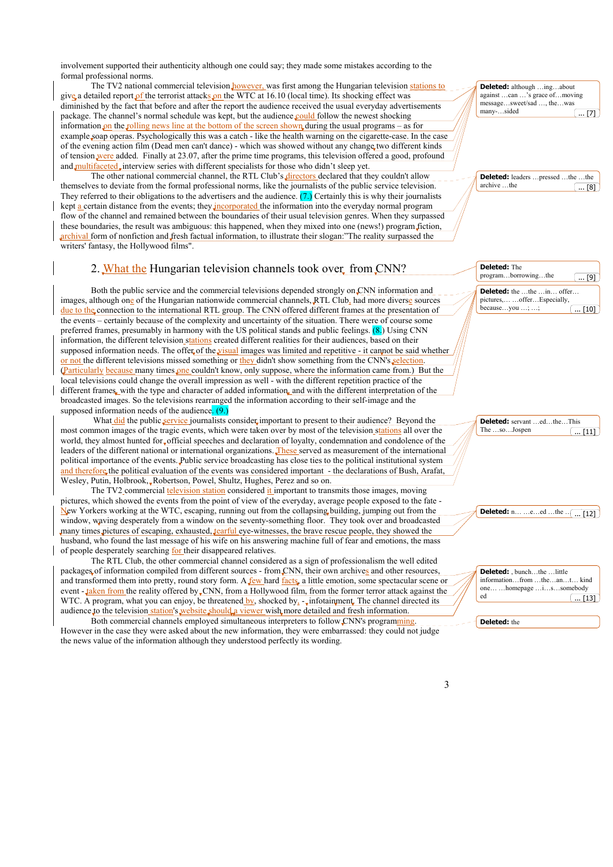involvement supported their authenticity although one could say; they made some mistakes according to the formal professional norms.

The TV2 national commercial television however, was first among the Hungarian television stations to give a detailed report of the terrorist attacks on the WTC at 16.10 (local time). Its shocking effect was diminished by the fact that before and after the report the audience received the usual everyday advertisements package. The channel's normal schedule was kept, but the audience could follow the newest shocking information on the rolling news line at the bottom of the screen shown during the usual programs – as for example soap operas. Psychologically this was a catch - like the health warning on the cigarette-case. In the case of the evening action film (Dead men can't dance) - which was showed without any change two different kinds of tension were added. Finally at 23.07, after the prime time programs, this television offered a good, profound and multifaceted, interview series with different specialists for those who didn't sleep yet.

 The other national commercial channel, the RTL Club's directors declared that they couldn't allow themselves to deviate from the formal professional norms, like the journalists of the public service television. They referred to their obligations to the advertisers and the audience. (7.) Certainly this is why their journalists kept  $\underline{a}$  certain distance from the events; they incorporated the information into the everyday normal program flow of the channel and remained between the boundaries of their usual television genres. When they surpassed these boundaries, the result was ambiguous: this happened, when they mixed into one (news!) program fiction, archival form of nonfiction and fresh factual information, to illustrate their slogan:"The reality surpassed the writers' fantasy, the Hollywood films".

# 2. What the Hungarian television channels took over from CNN?

Both the public service and the commercial televisions depended strongly on CNN information and images, although one of the Hungarian nationwide commercial channels, RTL Club, had more diverse sources due to the connection to the international RTL group. The CNN offered different frames at the presentation of the events – certainly because of the complexity and uncertainty of the situation. There were of course some preferred frames, presumably in harmony with the US political stands and public feelings. (8.) Using CNN information, the different television stations created different realities for their audiences, based on their supposed information needs. The offer of the visual images was limited and repetitive - it cannot be said whether or not the different televisions missed something or they didn't show something from the CNN's selection. (Particularly because many times one couldn't know, only suppose, where the information came from.) But the local televisions could change the overall impression as well - with the different repetition practice of the different frames, with the type and character of added information, and with the different interpretation of the broadcasted images. So the televisions rearranged the information according to their self-image and the supposed information needs of the audience.  $(9)$ .

What did the public service journalists consider important to present to their audience? Beyond the most common images of the tragic events, which were taken over by most of the television stations all over the world, they almost hunted for official speeches and declaration of loyalty, condemnation and condolence of the leaders of the different national or international organizations. These served as measurement of the international political importance of the events. Public service broadcasting has close ties to the political institutional system and therefore the political evaluation of the events was considered important - the declarations of Bush, Arafat Wesley, Putin, Holbrook, Robertson, Powel, Shultz, Hughes, Perez and so on.

The TV2 commercial television station considered it important to transmits those images, moving pictures, which showed the events from the point of view of the everyday, average people exposed to the fate - New Yorkers working at the WTC, escaping, running out from the collapsing building, jumping out from the window, waving desperately from a window on the seventy-something floor. They took over and broadcasted many times pictures of escaping, exhausted, tearful eye-witnesses, the brave rescue people, they showed the husband, who found the last message of his wife on his answering machine full of fear and emotions, the mass of people desperately searching for their disappeared relatives.

 The RTL Club, the other commercial channel considered as a sign of professionalism the well edited packages of information compiled from different sources - from CNN, their own archives and other resources, and transformed them into pretty, round story form. A few hard facts, a little emotion, some spectacular scene or event - taken from the reality offered by CNN, from a Hollywood film, from the former terror attack against the WTC. A program, what you can enjoy, be threatened  $\frac{by}{y}$ , shocked by<sub>s</sub> - infotainment. The channel directed its audience to the television station's website should a viewer wish more detailed and fresh information.

 Both commercial channels employed simultaneous interpreters to follow CNN's programming. However in the case they were asked about the new information, they were embarrassed: they could not judge the news value of the information although they understood perfectly its wording.

| Deleted: although ingabout               |
|------------------------------------------|
| against can 's grace ofmoving            |
| messagesweet/sad , thewas                |
| many-sided<br>$\left[ \dots [7] \right]$ |

**Deleted:** leaders …pressed …the …the archive …the  $\overline{181}$ 

| Deleted: The<br>programborrowingthe<br>$\dots$ [9]                                 |
|------------------------------------------------------------------------------------|
| <b>Deleted:</b> the the in offer<br>pictures,  offer Especially,<br>becauseyou ; ; |

| <b>Deleted:</b> servant edtheThis<br>The soJospen |                                          |
|---------------------------------------------------|------------------------------------------|
|                                                   | $\left( \dots \left[ 11 \right] \right)$ |



| Deleted: . bunchthe  little<br>informationfrom theantkind<br>onehomepageissomebody |
|------------------------------------------------------------------------------------|
| ed<br>   [13]                                                                      |

**Deleted:** the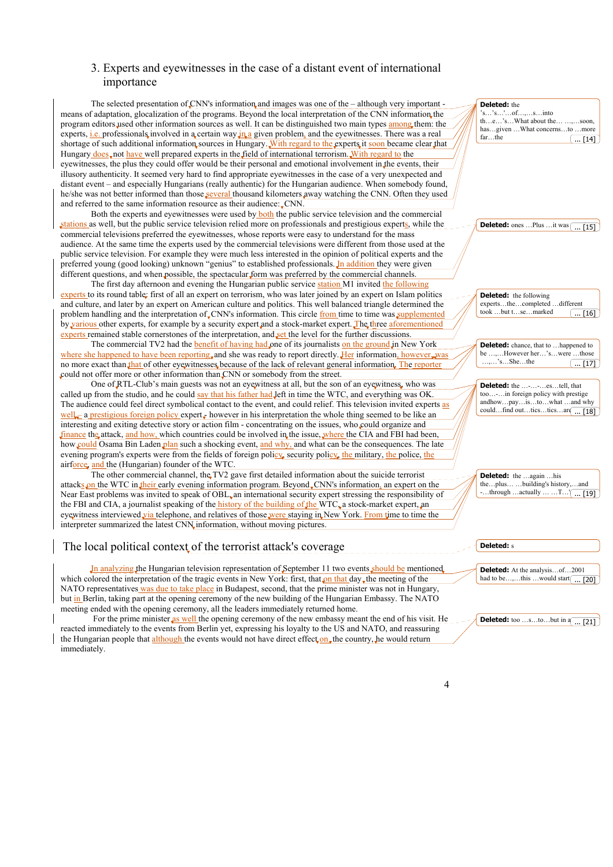# 3. Experts and eyewitnesses in the case of a distant event of international importance

The selected presentation of CNN's information and images was one of the – although very important means of adaptation, glocalization of the programs. Beyond the local interpretation of the CNN information the program editors used other information sources as well. It can be distinguished two main types among them: the experts, i.e. professionals involved in a certain way in a given problem, and the eyewitnesses. There was a real shortage of such additional information sources in Hungary. With regard to the experts it soon became clear that Hungary does, not have well prepared experts in the field of international terrorism. With regard to the eyewitnesses, the plus they could offer would be their personal and emotional involvement in the events, their illusory authenticity. It seemed very hard to find appropriate eyewitnesses in the case of a very unexpected and distant event – and especially Hungarians (really authentic) for the Hungarian audience. When somebody found, he/she was not better informed than those several thousand kilometers away watching the CNN. Often they used and referred to the same information resource as their audience: CNN.

 Both the experts and eyewitnesses were used by both the public service television and the commercial stations as well, but the public service television relied more on professionals and prestigious experts, while the commercial televisions preferred the eyewitnesses, whose reports were easy to understand for the mass audience. At the same time the experts used by the commercial televisions were different from those used at the public service television. For example they were much less interested in the opinion of political experts and the preferred young (good looking) unknown "genius" to established professionals. In addition they were given different questions, and when possible, the spectacular form was preferred by the commercial channels.

The first day afternoon and evening the Hungarian public service station M1 invited the following experts to its round table: first of all an expert on terrorism, who was later joined by an expert on Islam politics and culture, and later by an expert on American culture and politics. This well balanced triangle determined the problem handling and the interpretation of CNN's information. This circle from time to time was supplemented by various other experts, for example by a security expert and a stock-market expert. The three aforementioned experts remained stable cornerstones of the interpretation, and set the level for the further discussions.

The commercial TV2 had the **benefit of having had one of its journalists on the ground in New York** where she happened to have been reporting and she was ready to report directly. Her information, however was no more exact than that of other eyewitnesses because of the lack of relevant general information. The reporter could not offer more or other information than CNN or somebody from the street.

One of RTL-Club's main guests was not an eyewitness at all, but the son of an eyewitness, who was called up from the studio, and he could say that his father had left in time the WTC, and everything was OK. The audience could feel direct symbolical contact to the event, and could relief. This television invited experts as well – a prestigious foreign policy expert – however in his interpretation the whole thing seemed to be like an interesting and exiting detective story or action film - concentrating on the issues, who could organize and finance the attack, and how, which countries could be involved in the issue, where the CIA and FBI had been, how could Osama Bin Laden plan such a shocking event, and why, and what can be the consequences. The late evening program's experts were from the fields of foreign policy, security policy, the military, the police, the airforce, and the (Hungarian) founder of the WTC.

The other commercial channel, the TV2 gave first detailed information about the suicide terrorist attacks on the WTC in their early evening information program. Beyond CNN's information, an expert on the Near East problems was invited to speak of OBL, an international security expert stressing the responsibility of the FBI and CIA, a journalist speaking of the history of the building of the WTC, a stock-market expert, an eyewitness interviewed via telephone, and relatives of those were staying in New York. From time to time the interpreter summarized the latest CNN information, without moving pictures.

# The local political context of the terrorist attack's coverage

In analyzing the Hungarian television representation of September 11 two events should be mentioned. which colored the interpretation of the tragic events in New York: first, that on that day, the meeting of the NATO representatives was due to take place in Budapest, second, that the prime minister was not in Hungary, but in Berlin, taking part at the opening ceremony of the new building of the Hungarian Embassy. The NATO meeting ended with the opening ceremony, all the leaders immediately returned home.

For the prime minister as well the opening ceremony of the new embassy meant the end of his visit. He reacted immediately to the events from Berlin yet, expressing his loyalty to the US and NATO, and reassuring the Hungarian people that although the events would not have direct effect on the country, he would return immediately.

| <b>Deleted:</b> the                              |
|--------------------------------------------------|
| 's's' of, s into                                 |
| $the$ 'sWhat about the ,soon,                    |
| hasgiven  What concernsto more                   |
| farthe                                           |
| $\lfloor  \rfloor$ 14                            |
|                                                  |
|                                                  |
|                                                  |
|                                                  |
|                                                  |
|                                                  |
|                                                  |
|                                                  |
|                                                  |
|                                                  |
|                                                  |
| <b>Deleted:</b> ones Plus it was $\boxed{ [15]}$ |
|                                                  |
|                                                  |
|                                                  |
|                                                  |
|                                                  |
|                                                  |
|                                                  |
|                                                  |
| <b>Deleted:</b> the following                    |
|                                                  |
| expertsthecompleteddifferent                     |
| took but tsemarked<br>$\ldots$ [16]              |
|                                                  |
|                                                  |
|                                                  |
|                                                  |
| <b>Deleted:</b> chance, that to  happened to     |
|                                                  |
| be ,However her'swere those                      |
| $,$ 'sShethe                                     |
| $\ldots$ [17]                                    |
|                                                  |
|                                                  |
| <b>Deleted:</b> the --estell, that               |
| too- in foreign policy with prestige             |
| andhowpayistowhat and why                        |
| couldfind outticsticsar( [18]                    |
|                                                  |
|                                                  |
|                                                  |
|                                                  |
|                                                  |
|                                                  |
|                                                  |
|                                                  |
|                                                  |
| <b>Deleted:</b> the  again  his                  |
| theplusbuilding's history,and                    |
| -through actually  T' $\boxed{}$ [19]            |
|                                                  |
|                                                  |
|                                                  |
|                                                  |
|                                                  |
|                                                  |
|                                                  |
| <b>Deleted:</b> s                                |
|                                                  |
|                                                  |
| <b>Deleted:</b> At the analysisof2001            |
| had to be,this  would start $\boxed{ [20]}$      |



**Deleted:** too ...s...to...but in a

... [21]

 $\Delta$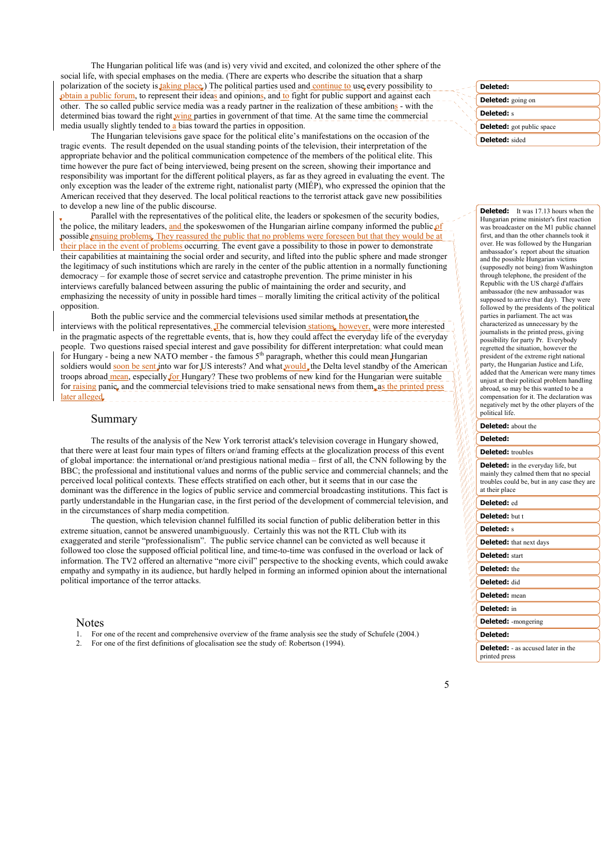The Hungarian political life was (and is) very vivid and excited, and colonized the other sphere of the social life, with special emphases on the media. (There are experts who describe the situation that a sharp polarization of the society is taking place.) The political parties used and continue to use every possibility to obtain a public forum, to represent their ideas and opinions, and to fight for public support and against each other. The so called public service media was a ready partner in the realization of these ambitions - with the determined bias toward the right  $wing$  parties in government of that time. At the same time the commercial media usually slightly tended to a bias toward the parties in opposition.

The Hungarian televisions gave space for the political elite's manifestations on the occasion of the tragic events. The result depended on the usual standing points of the television, their interpretation of the appropriate behavior and the political communication competence of the members of the political elite. This time however the pure fact of being interviewed, being present on the screen, showing their importance and responsibility was important for the different political players, as far as they agreed in evaluating the event. The only exception was the leader of the extreme right, nationalist party (MIÉP), who expressed the opinion that the American received that they deserved. The local political reactions to the terrorist attack gave new possibilities to develop a new line of the public discourse.

 Parallel with the representatives of the political elite, the leaders or spokesmen of the security bodies, the police, the military leaders, and the spokeswomen of the Hungarian airline company informed the public  $\mathbf{p}$ possible ensuing problems. They reassured the public that no problems were foreseen but that they would be at their place in the event of problems occurring. The event gave a possibility to those in power to demonstrate their capabilities at maintaining the social order and security, and lifted into the public sphere and made stronger the legitimacy of such institutions which are rarely in the center of the public attention in a normally functioning democracy – for example those of secret service and catastrophe prevention. The prime minister in his interviews carefully balanced between assuring the public of maintaining the order and security, and emphasizing the necessity of unity in possible hard times – morally limiting the critical activity of the political opposition.

Both the public service and the commercial televisions used similar methods at presentation the interviews with the political representatives. The commercial television stations, however, were more interested in the pragmatic aspects of the regrettable events, that is, how they could affect the everyday life of the everyday people. Two questions raised special interest and gave possibility for different interpretation: what could mean for Hungary - being a new NATO member - the famous 5<sup>th</sup> paragraph, whether this could mean Hungarian for Hungarian soldiers would soon be sent into war for US interests? And what would, the Delta level standby of the American troops abroad mean, especially for Hungary? These two problems of new kind for the Hungarian were suitable for raising panic, and the commercial televisions tried to make sensational news from them, as the printed pr later alleged.

#### Summary

 The results of the analysis of the New York terrorist attack's television coverage in Hungary showed, that there were at least four main types of filters or/and framing effects at the glocalization process of this event of global importance: the international or/and prestigious national media – first of all, the CNN following by the BBC; the professional and institutional values and norms of the public service and commercial channels; and the perceived local political contexts. These effects stratified on each other, but it seems that in our case the dominant was the difference in the logics of public service and commercial broadcasting institutions. This fact is partly understandable in the Hungarian case, in the first period of the development of commercial television, and in the circumstances of sharp media competition.

 The question, which television channel fulfilled its social function of public deliberation better in this extreme situation, cannot be answered unambiguously. Certainly this was not the RTL Club with its exaggerated and sterile "professionalism". The public service channel can be convicted as well because it followed too close the supposed official political line, and time-to-time was confused in the overload or lack of information. The TV2 offered an alternative "more civil" perspective to the shocking events, which could awake empathy and sympathy in its audience, but hardly helped in forming an informed opinion about the international political importance of the terror attacks.

#### Notes

- 1. For one of the recent and comprehensive overview of the frame analysis see the study of Schufele (2004.)
- 2. For one of the first definitions of glocalisation see the study of: Robertson (1994).

| Deleted:                         |
|----------------------------------|
| <b>Deleted:</b> going on         |
| <b>Deleted:</b> s                |
| <b>Deleted:</b> got public space |
| Deleted: sided                   |
|                                  |

**Deleted:** It was 17.13 hours when the Hungarian prime minister's first reaction was broadcaster on the M1 public channel first, and than the other channels took it over. He was followed by the Hungarian ambassador's report about the situation and the possible Hungarian victims (supposedly not being) from Washington through telephone, the president of the Republic with the US chargé d'affairs ambassador (the new ambassador was supposed to arrive that day). They were followed by the presidents of the political parties in parliament. The act was characterized as unnecessary by the journalists in the printed press, giving possibility for party Pr. Everybody regretted the situation, however the president of the extreme right national party, the Hungarian Justice and Life, added that the American were many times unjust at their political problem handling abroad, so may be this wanted to be a compensation for it. The declaration was negatively met by the other players of the political life.

#### **Deleted:** about the

#### **Deleted:**

#### **Deleted:** troubles

**Deleted:** in the everyday life, but mainly they calmed them that no special troubles could be, but in any case they are at their place

#### **Deleted:** ed

**Deleted:** but t

## **Deleted:** s

**Deleted:** that next days

- **Deleted:** start
- **Deleted:** the
- **Deleted:** did
- **Deleted:** mean

**Deleted:** in

**Deleted:** -mongering

```
Deleted:
```
**Deleted:** - as accused later in the printed press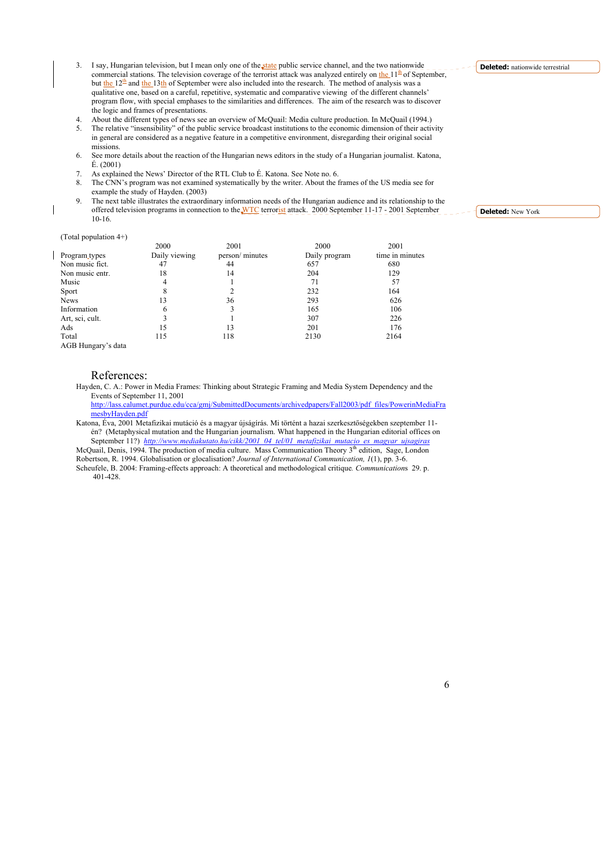- 3. I say, Hungarian television, but I mean only one of the state public service channel, and the two nationwide commercial stations. The television coverage of the terrorist attack was analyzed entirely on the  $11<sup>th</sup>$  of September, but the  $12^{\frac{th}{2}}$  and the 13th of September were also included into the research. The method of analysis was a qualitative one, based on a careful, repetitive, systematic and comparative viewing of the different channels' program flow, with special emphases to the similarities and differences. The aim of the research was to discover the logic and frames of presentations.
- 4. About the different types of news see an overview of McQuail: Media culture production. In McQuail (1994.)
- 5. The relative "insensibility" of the public service broadcast institutions to the economic dimension of their activity in general are considered as a negative feature in a competitive environment, disregarding their original social missions.
- 6. See more details about the reaction of the Hungarian news editors in the study of a Hungarian journalist. Katona, É. (2001)
- 7. As explained the News' Director of the RTL Club to É. Katona. See Note no. 6.
- 8. The CNN's program was not examined systematically by the writer. About the frames of the US media see for example the study of Hayden. (2003)
- 9. The next table illustrates the extraordinary information needs of the Hungarian audience and its relationship to the offered television programs in connection to the WTC terrorist attack. 2000 September 11-17 - 2001 September 10-16.

#### (Total population 4+)

|                           | 2000          | 2001            | 2000          | 2001            |
|---------------------------|---------------|-----------------|---------------|-----------------|
| Program types             | Daily viewing | person/ minutes | Daily program | time in minutes |
| Non music fict.           | 47            | 44              | 657           | 680             |
| Non music entr.           | 18            | 14              | 204           | 129             |
| Music                     |               |                 | 71            | 57              |
| <b>Sport</b>              |               |                 | 232           | 164             |
| News                      | 13            | 36              | 293           | 626             |
| Information               | 6             | 3               | 165           | 106             |
| Art, sci, cult.           |               |                 | 307           | 226             |
| Ads                       | 15            | 13              | 201           | 176             |
| Total                     | 115           | 118             | 2130          | 2164            |
| $1.05$ $\tau$<br>$\cdots$ |               |                 |               |                 |

AGB Hungary's data

#### References:

Hayden, C. A.: Power in Media Frames: Thinking about Strategic Framing and Media System Dependency and the Events of September 11, 2001

http://lass.calumet.purdue.edu/cca/gmj/SubmittedDocuments/archivedpapers/Fall2003/pdf\_files/PowerinMediaFra mesbyHayden.pdf

Katona, Éva, 2001 Metafizikai mutáció és a magyar újságírás. Mi történt a hazai szerkesztőségekben szeptember 11 én? (Metaphysical mutation and the Hungarian journalism. What happened in the Hungarian editorial offices on September 11?) *http://www.mediakutato.hu/cikk/2001\_04\_tel/01\_metafizikai\_mutacio\_es\_magyar\_ujsagiras*<br>McQuail, Denis, 1994. The production of media culture. Mass Communication Theory 3<sup>th</sup> edition, Sage, London

Robertson, R. 1994. Globalisation or glocalisation? *Journal of International Communication, 1*(1), pp. 3-6. Scheufele, B. 2004: Framing-effects approach: A theoretical and methodological critique*. Communication*s 29. p.

401-428.

**Deleted:** nationwide terrestrial

**Deleted:** New York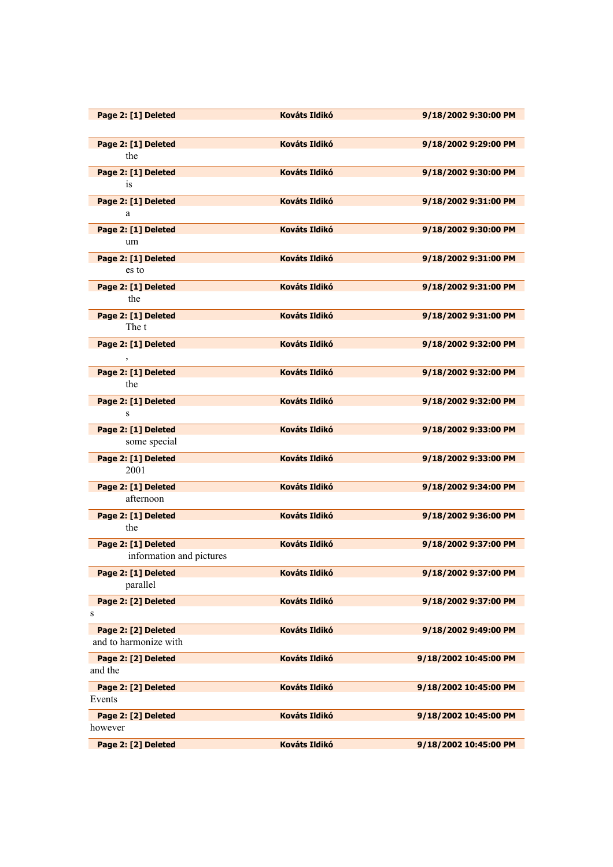| Page 2: [1] Deleted      | <b>Kováts Ildikó</b> | 9/18/2002 9:30:00 PM  |
|--------------------------|----------------------|-----------------------|
| Page 2: [1] Deleted      | <b>Kováts Ildikó</b> | 9/18/2002 9:29:00 PM  |
| the                      |                      |                       |
| Page 2: [1] Deleted      | <b>Kováts Ildikó</b> | 9/18/2002 9:30:00 PM  |
| <i>is</i>                |                      |                       |
| Page 2: [1] Deleted      | <b>Kováts Ildikó</b> | 9/18/2002 9:31:00 PM  |
| a                        |                      |                       |
| Page 2: [1] Deleted      | <b>Kováts Ildikó</b> | 9/18/2002 9:30:00 PM  |
| um                       |                      |                       |
| Page 2: [1] Deleted      | <b>Kováts Ildikó</b> | 9/18/2002 9:31:00 PM  |
| es to                    |                      |                       |
|                          |                      |                       |
| Page 2: [1] Deleted      | <b>Kováts Ildikó</b> | 9/18/2002 9:31:00 PM  |
| the                      |                      |                       |
| Page 2: [1] Deleted      | <b>Kováts Ildikó</b> | 9/18/2002 9:31:00 PM  |
| The t                    |                      |                       |
| Page 2: [1] Deleted      | <b>Kováts Ildikó</b> | 9/18/2002 9:32:00 PM  |
| $\,$                     |                      |                       |
| Page 2: [1] Deleted      | <b>Kováts Ildikó</b> | 9/18/2002 9:32:00 PM  |
| the                      |                      |                       |
| Page 2: [1] Deleted      | <b>Kováts Ildikó</b> | 9/18/2002 9:32:00 PM  |
| S                        |                      |                       |
| Page 2: [1] Deleted      | <b>Kováts Ildikó</b> | 9/18/2002 9:33:00 PM  |
| some special             |                      |                       |
|                          |                      |                       |
| Page 2: [1] Deleted      | <b>Kováts Ildikó</b> | 9/18/2002 9:33:00 PM  |
| 2001                     |                      |                       |
| Page 2: [1] Deleted      | <b>Kováts Ildikó</b> | 9/18/2002 9:34:00 PM  |
| afternoon                |                      |                       |
| Page 2: [1] Deleted      | <b>Kováts Ildikó</b> | 9/18/2002 9:36:00 PM  |
| the                      |                      |                       |
| Page 2: [1] Deleted      | <b>Kováts Ildikó</b> | 9/18/2002 9:37:00 PM  |
| information and pictures |                      |                       |
| Page 2: [1] Deleted      | <b>Kováts Ildikó</b> | 9/18/2002 9:37:00 PM  |
| parallel                 |                      |                       |
|                          | <b>Kováts Ildikó</b> | 9/18/2002 9:37:00 PM  |
| Page 2: [2] Deleted<br>s |                      |                       |
|                          |                      |                       |
| Page 2: [2] Deleted      | <b>Kováts Ildikó</b> | 9/18/2002 9:49:00 PM  |
| and to harmonize with    |                      |                       |
| Page 2: [2] Deleted      | <b>Kováts Ildikó</b> | 9/18/2002 10:45:00 PM |
| and the                  |                      |                       |
| Page 2: [2] Deleted      | <b>Kováts Ildikó</b> | 9/18/2002 10:45:00 PM |
| Events                   |                      |                       |
| Page 2: [2] Deleted      | <b>Kováts Ildikó</b> | 9/18/2002 10:45:00 PM |
| however                  |                      |                       |
| Page 2: [2] Deleted      | Kováts Ildikó        | 9/18/2002 10:45:00 PM |
|                          |                      |                       |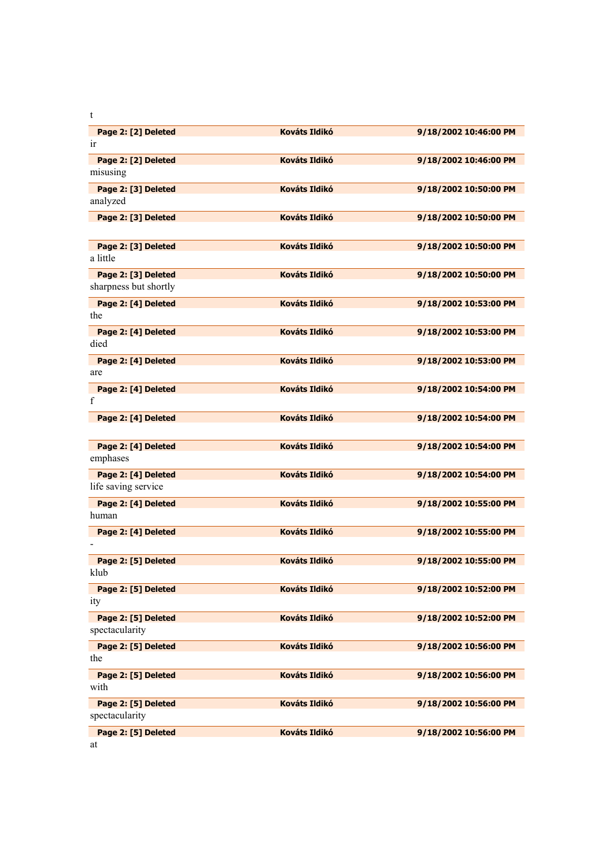| <b>Kováts Ildikó</b><br><b>Kováts Ildikó</b><br><b>Kováts Ildikó</b><br><b>Kováts Ildikó</b><br><b>Kováts Ildikó</b><br><b>Kováts Ildikó</b><br><b>Kováts Ildikó</b><br><b>Kováts Ildikó</b><br><b>Kováts Ildikó</b> | 9/18/2002 10:46:00 PM<br>9/18/2002 10:46:00 PM<br>9/18/2002 10:50:00 PM<br>9/18/2002 10:50:00 PM<br>9/18/2002 10:50:00 PM<br>9/18/2002 10:50:00 PM<br>9/18/2002 10:53:00 PM<br>9/18/2002 10:53:00 PM<br>9/18/2002 10:53:00 PM<br>9/18/2002 10:54:00 PM |
|----------------------------------------------------------------------------------------------------------------------------------------------------------------------------------------------------------------------|--------------------------------------------------------------------------------------------------------------------------------------------------------------------------------------------------------------------------------------------------------|
|                                                                                                                                                                                                                      |                                                                                                                                                                                                                                                        |
|                                                                                                                                                                                                                      |                                                                                                                                                                                                                                                        |
|                                                                                                                                                                                                                      |                                                                                                                                                                                                                                                        |
|                                                                                                                                                                                                                      |                                                                                                                                                                                                                                                        |
|                                                                                                                                                                                                                      |                                                                                                                                                                                                                                                        |
|                                                                                                                                                                                                                      |                                                                                                                                                                                                                                                        |
|                                                                                                                                                                                                                      |                                                                                                                                                                                                                                                        |
|                                                                                                                                                                                                                      |                                                                                                                                                                                                                                                        |
|                                                                                                                                                                                                                      |                                                                                                                                                                                                                                                        |
|                                                                                                                                                                                                                      |                                                                                                                                                                                                                                                        |
|                                                                                                                                                                                                                      |                                                                                                                                                                                                                                                        |
|                                                                                                                                                                                                                      |                                                                                                                                                                                                                                                        |
|                                                                                                                                                                                                                      |                                                                                                                                                                                                                                                        |
|                                                                                                                                                                                                                      |                                                                                                                                                                                                                                                        |
|                                                                                                                                                                                                                      |                                                                                                                                                                                                                                                        |
|                                                                                                                                                                                                                      |                                                                                                                                                                                                                                                        |
|                                                                                                                                                                                                                      |                                                                                                                                                                                                                                                        |
|                                                                                                                                                                                                                      |                                                                                                                                                                                                                                                        |
|                                                                                                                                                                                                                      |                                                                                                                                                                                                                                                        |
| <b>Kováts Ildikó</b>                                                                                                                                                                                                 | 9/18/2002 10:54:00 PM                                                                                                                                                                                                                                  |
|                                                                                                                                                                                                                      |                                                                                                                                                                                                                                                        |
| <b>Kováts Ildikó</b>                                                                                                                                                                                                 | 9/18/2002 10:54:00 PM                                                                                                                                                                                                                                  |
|                                                                                                                                                                                                                      |                                                                                                                                                                                                                                                        |
| <b>Kováts Ildikó</b>                                                                                                                                                                                                 | 9/18/2002 10:54:00 PM                                                                                                                                                                                                                                  |
|                                                                                                                                                                                                                      |                                                                                                                                                                                                                                                        |
| <b>Kováts Ildikó</b>                                                                                                                                                                                                 | 9/18/2002 10:55:00 PM                                                                                                                                                                                                                                  |
|                                                                                                                                                                                                                      |                                                                                                                                                                                                                                                        |
| <b>Kováts Ildikó</b>                                                                                                                                                                                                 | 9/18/2002 10:55:00 PM                                                                                                                                                                                                                                  |
|                                                                                                                                                                                                                      |                                                                                                                                                                                                                                                        |
| <b>Kováts Ildikó</b>                                                                                                                                                                                                 | 9/18/2002 10:55:00 PM                                                                                                                                                                                                                                  |
|                                                                                                                                                                                                                      |                                                                                                                                                                                                                                                        |
| <b>Kováts Ildikó</b>                                                                                                                                                                                                 | 9/18/2002 10:52:00 PM                                                                                                                                                                                                                                  |
|                                                                                                                                                                                                                      |                                                                                                                                                                                                                                                        |
| <b>Kováts Ildikó</b>                                                                                                                                                                                                 | 9/18/2002 10:52:00 PM                                                                                                                                                                                                                                  |
|                                                                                                                                                                                                                      |                                                                                                                                                                                                                                                        |
| <b>Kováts Ildikó</b>                                                                                                                                                                                                 | 9/18/2002 10:56:00 PM                                                                                                                                                                                                                                  |
|                                                                                                                                                                                                                      |                                                                                                                                                                                                                                                        |
| <b>Kováts Ildikó</b>                                                                                                                                                                                                 | 9/18/2002 10:56:00 PM                                                                                                                                                                                                                                  |
|                                                                                                                                                                                                                      |                                                                                                                                                                                                                                                        |
| <b>Kováts Ildikó</b>                                                                                                                                                                                                 | 9/18/2002 10:56:00 PM                                                                                                                                                                                                                                  |
|                                                                                                                                                                                                                      |                                                                                                                                                                                                                                                        |
|                                                                                                                                                                                                                      | <b>Kováts Ildikó</b>                                                                                                                                                                                                                                   |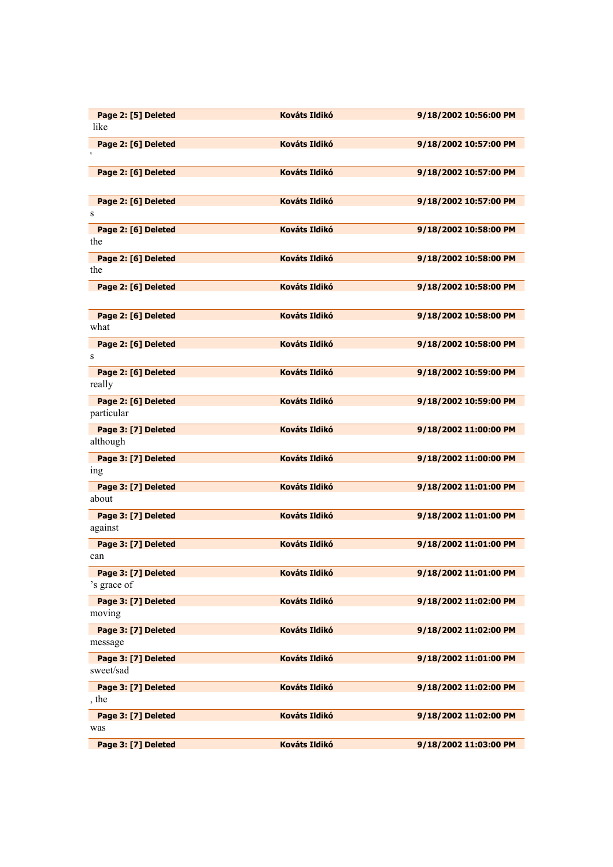| Page 2: [5] Deleted                 | <b>Kováts Ildikó</b> | 9/18/2002 10:56:00 PM |
|-------------------------------------|----------------------|-----------------------|
| like                                |                      |                       |
| Page 2: [6] Deleted<br>$\mathbf{r}$ | <b>Kováts Ildikó</b> | 9/18/2002 10:57:00 PM |
|                                     |                      |                       |
| Page 2: [6] Deleted                 | <b>Kováts Ildikó</b> | 9/18/2002 10:57:00 PM |
|                                     |                      |                       |
| Page 2: [6] Deleted<br>S            | <b>Kováts Ildikó</b> | 9/18/2002 10:57:00 PM |
| Page 2: [6] Deleted                 | <b>Kováts Ildikó</b> | 9/18/2002 10:58:00 PM |
| the                                 |                      |                       |
| Page 2: [6] Deleted                 | <b>Kováts Ildikó</b> | 9/18/2002 10:58:00 PM |
| the                                 |                      |                       |
| Page 2: [6] Deleted                 | <b>Kováts Ildikó</b> | 9/18/2002 10:58:00 PM |
|                                     |                      |                       |
| Page 2: [6] Deleted                 | <b>Kováts Ildikó</b> | 9/18/2002 10:58:00 PM |
| what                                |                      |                       |
| Page 2: [6] Deleted                 | <b>Kováts Ildikó</b> | 9/18/2002 10:58:00 PM |
| S                                   |                      |                       |
| Page 2: [6] Deleted                 | <b>Kováts Ildikó</b> | 9/18/2002 10:59:00 PM |
| really                              |                      |                       |
| Page 2: [6] Deleted                 | <b>Kováts Ildikó</b> | 9/18/2002 10:59:00 PM |
| particular                          |                      |                       |
| Page 3: [7] Deleted<br>although     | <b>Kováts Ildikó</b> | 9/18/2002 11:00:00 PM |
| Page 3: [7] Deleted                 | <b>Kováts Ildikó</b> | 9/18/2002 11:00:00 PM |
| 1ng                                 |                      |                       |
| Page 3: [7] Deleted                 | <b>Kováts Ildikó</b> | 9/18/2002 11:01:00 PM |
| about                               |                      |                       |
| Page 3: [7] Deleted                 | <b>Kováts Ildikó</b> | 9/18/2002 11:01:00 PM |
| against                             |                      |                       |
| Page 3: [7] Deleted                 | <b>Kováts Ildikó</b> | 9/18/2002 11:01:00 PM |
| can                                 |                      |                       |
| Page 3: [7] Deleted                 | <b>Kováts Ildikó</b> | 9/18/2002 11:01:00 PM |
| 's grace of                         |                      |                       |
| Page 3: [7] Deleted                 | <b>Kováts Ildikó</b> | 9/18/2002 11:02:00 PM |
| moving                              |                      |                       |
| Page 3: [7] Deleted                 | <b>Kováts Ildikó</b> | 9/18/2002 11:02:00 PM |
| message                             |                      |                       |
| Page 3: [7] Deleted<br>sweet/sad    | <b>Kováts Ildikó</b> | 9/18/2002 11:01:00 PM |
|                                     |                      |                       |
| Page 3: [7] Deleted<br>, the        | <b>Kováts Ildikó</b> | 9/18/2002 11:02:00 PM |
| Page 3: [7] Deleted                 | Kováts Ildikó        | 9/18/2002 11:02:00 PM |
| was                                 |                      |                       |
| Page 3: [7] Deleted                 | <b>Kováts Ildikó</b> | 9/18/2002 11:03:00 PM |
|                                     |                      |                       |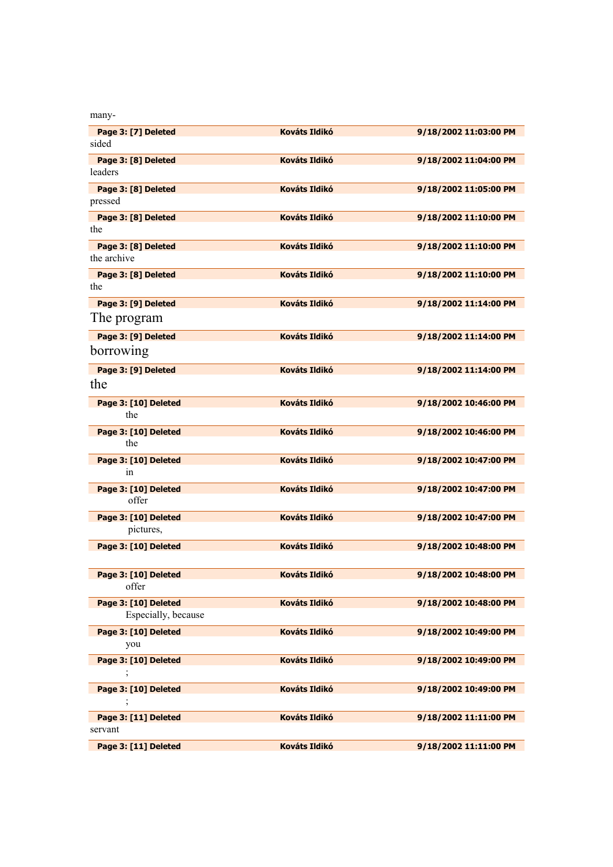| many-                              |                      |                       |
|------------------------------------|----------------------|-----------------------|
| Page 3: [7] Deleted                | <b>Kováts Ildikó</b> | 9/18/2002 11:03:00 PM |
| sided                              |                      |                       |
| Page 3: [8] Deleted<br>leaders     | <b>Kováts Ildikó</b> | 9/18/2002 11:04:00 PM |
| Page 3: [8] Deleted                | <b>Kováts Ildikó</b> | 9/18/2002 11:05:00 PM |
| pressed                            |                      |                       |
| Page 3: [8] Deleted<br>the         | <b>Kováts Ildikó</b> | 9/18/2002 11:10:00 PM |
| Page 3: [8] Deleted<br>the archive | <b>Kováts Ildikó</b> | 9/18/2002 11:10:00 PM |
| Page 3: [8] Deleted                | <b>Kováts Ildikó</b> | 9/18/2002 11:10:00 PM |
| the                                |                      |                       |
| Page 3: [9] Deleted                | <b>Kováts Ildikó</b> | 9/18/2002 11:14:00 PM |
| The program                        |                      |                       |
| Page 3: [9] Deleted                | <b>Kováts Ildikó</b> | 9/18/2002 11:14:00 PM |
| borrowing                          |                      |                       |
| Page 3: [9] Deleted                | <b>Kováts Ildikó</b> | 9/18/2002 11:14:00 PM |
| the                                |                      |                       |
| Page 3: [10] Deleted               | <b>Kováts Ildikó</b> | 9/18/2002 10:46:00 PM |
| the                                |                      |                       |
| Page 3: [10] Deleted               | <b>Kováts Ildikó</b> | 9/18/2002 10:46:00 PM |
| the                                |                      |                       |
| Page 3: [10] Deleted               | <b>Kováts Ildikó</b> | 9/18/2002 10:47:00 PM |
| 1n                                 |                      |                       |
| Page 3: [10] Deleted               | <b>Kováts Ildikó</b> | 9/18/2002 10:47:00 PM |
| offer                              |                      |                       |
| Page 3: [10] Deleted               | <b>Kováts Ildikó</b> | 9/18/2002 10:47:00 PM |
| pictures,                          |                      |                       |
| Page 3: [10] Deleted               | <b>Kováts Ildikó</b> | 9/18/2002 10:48:00 PM |
| Page 3: [10] Deleted               | <b>Kováts Ildikó</b> | 9/18/2002 10:48:00 PM |
| offer                              |                      |                       |
| Page 3: [10] Deleted               | <b>Kováts Ildikó</b> | 9/18/2002 10:48:00 PM |
| Especially, because                |                      |                       |
| Page 3: [10] Deleted               | <b>Kováts Ildikó</b> | 9/18/2002 10:49:00 PM |
| you                                |                      |                       |
| Page 3: [10] Deleted               | Kováts Ildikó        | 9/18/2002 10:49:00 PM |
|                                    |                      |                       |
| Page 3: [10] Deleted               | <b>Kováts Ildikó</b> | 9/18/2002 10:49:00 PM |
| $\,$                               |                      |                       |
| Page 3: [11] Deleted               | <b>Kováts Ildikó</b> | 9/18/2002 11:11:00 PM |
| servant                            |                      |                       |
| Page 3: [11] Deleted               | <b>Kováts Ildikó</b> | 9/18/2002 11:11:00 PM |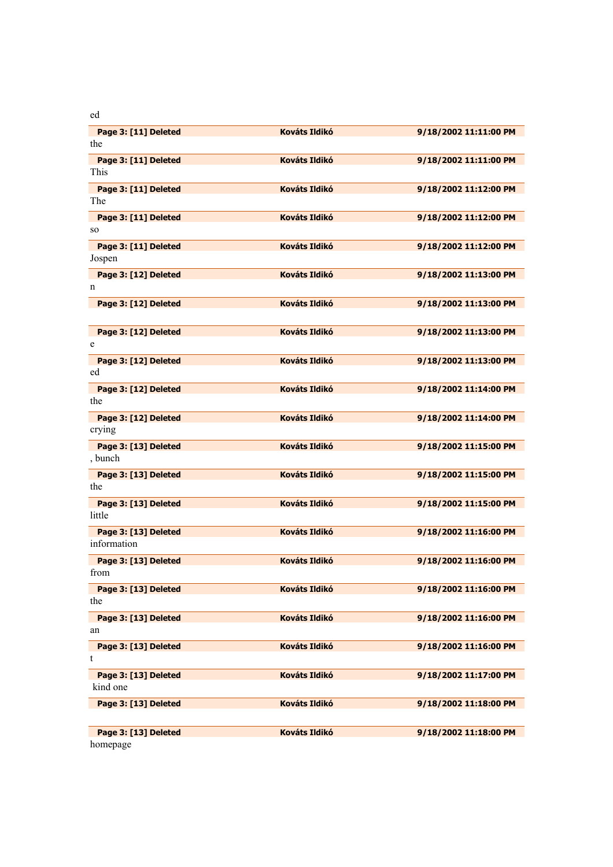ed

| Page 3: [11] Deleted        | <b>Kováts Ildikó</b> | 9/18/2002 11:11:00 PM |
|-----------------------------|----------------------|-----------------------|
| the                         |                      |                       |
| Page 3: [11] Deleted        | <b>Kováts Ildikó</b> | 9/18/2002 11:11:00 PM |
| This                        |                      |                       |
| Page 3: [11] Deleted        | <b>Kováts Ildikó</b> | 9/18/2002 11:12:00 PM |
| The                         |                      |                       |
| Page 3: [11] Deleted        | <b>Kováts Ildikó</b> | 9/18/2002 11:12:00 PM |
| SO.                         |                      |                       |
| Page 3: [11] Deleted        | <b>Kováts Ildikó</b> | 9/18/2002 11:12:00 PM |
| Jospen                      |                      |                       |
| Page 3: [12] Deleted        | <b>Kováts Ildikó</b> | 9/18/2002 11:13:00 PM |
| n                           |                      |                       |
| Page 3: [12] Deleted        | <b>Kováts Ildikó</b> | 9/18/2002 11:13:00 PM |
|                             |                      |                       |
| Page 3: [12] Deleted        | <b>Kováts Ildikó</b> | 9/18/2002 11:13:00 PM |
| e                           |                      |                       |
| Page 3: [12] Deleted        | <b>Kováts Ildikó</b> | 9/18/2002 11:13:00 PM |
| ed                          |                      |                       |
|                             | <b>Kováts Ildikó</b> |                       |
| Page 3: [12] Deleted<br>the |                      | 9/18/2002 11:14:00 PM |
|                             |                      |                       |
| Page 3: [12] Deleted        | <b>Kováts Ildikó</b> | 9/18/2002 11:14:00 PM |
| crying                      |                      |                       |
| Page 3: [13] Deleted        | <b>Kováts Ildikó</b> | 9/18/2002 11:15:00 PM |
| , bunch                     |                      |                       |
| Page 3: [13] Deleted        | <b>Kováts Ildikó</b> | 9/18/2002 11:15:00 PM |
| the                         |                      |                       |
| Page 3: [13] Deleted        | <b>Kováts Ildikó</b> | 9/18/2002 11:15:00 PM |
| little                      |                      |                       |
| Page 3: [13] Deleted        | <b>Kováts Ildikó</b> | 9/18/2002 11:16:00 PM |
| information                 |                      |                       |
| Page 3: [13] Deleted        | <b>Kováts Ildikó</b> | 9/18/2002 11:16:00 PM |
| from                        |                      |                       |
| Page 3: [13] Deleted        | <b>Kováts Ildikó</b> | 9/18/2002 11:16:00 PM |
| the                         |                      |                       |
| Page 3: [13] Deleted        | <b>Kováts Ildikó</b> | 9/18/2002 11:16:00 PM |
| an                          |                      |                       |
| Page 3: [13] Deleted        | <b>Kováts Ildikó</b> | 9/18/2002 11:16:00 PM |
| t                           |                      |                       |
| Page 3: [13] Deleted        | <b>Kováts Ildikó</b> | 9/18/2002 11:17:00 PM |
| kind one                    |                      |                       |
| Page 3: [13] Deleted        | <b>Kováts Ildikó</b> | 9/18/2002 11:18:00 PM |
|                             |                      |                       |
| Page 3: [13] Deleted        | <b>Kováts Ildikó</b> | 9/18/2002 11:18:00 PM |
| homepage                    |                      |                       |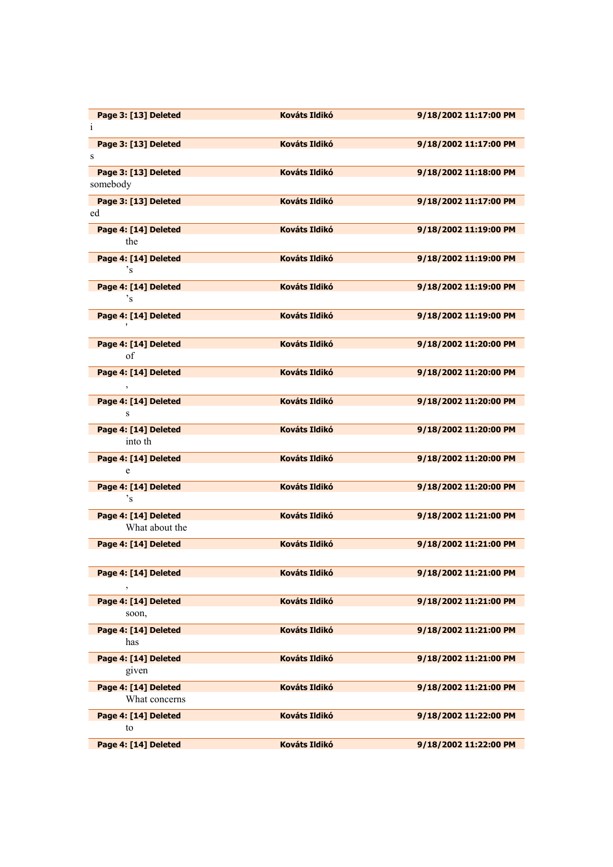| Page 3: [13] Deleted                   | <b>Kováts Ildikó</b> | 9/18/2002 11:17:00 PM |
|----------------------------------------|----------------------|-----------------------|
| $\mathbf i$                            |                      |                       |
| Page 3: [13] Deleted                   | <b>Kováts Ildikó</b> | 9/18/2002 11:17:00 PM |
| S                                      |                      |                       |
| Page 3: [13] Deleted                   | <b>Kováts Ildikó</b> | 9/18/2002 11:18:00 PM |
| somebody                               |                      |                       |
| Page 3: [13] Deleted                   | <b>Kováts Ildikó</b> | 9/18/2002 11:17:00 PM |
| ed                                     |                      |                       |
| Page 4: [14] Deleted                   | <b>Kováts Ildikó</b> | 9/18/2002 11:19:00 PM |
| the                                    |                      |                       |
| Page 4: [14] Deleted                   | <b>Kováts Ildikó</b> | 9/18/2002 11:19:00 PM |
| 's                                     |                      |                       |
| Page 4: [14] Deleted<br><sup>2</sup> S | <b>Kováts Ildikó</b> | 9/18/2002 11:19:00 PM |
|                                        |                      |                       |
| Page 4: [14] Deleted                   | <b>Kováts Ildikó</b> | 9/18/2002 11:19:00 PM |
|                                        |                      |                       |
| Page 4: [14] Deleted<br>of             | <b>Kováts Ildikó</b> | 9/18/2002 11:20:00 PM |
|                                        |                      |                       |
| Page 4: [14] Deleted                   | <b>Kováts Ildikó</b> | 9/18/2002 11:20:00 PM |
|                                        |                      |                       |
| Page 4: [14] Deleted<br>S              | <b>Kováts Ildikó</b> | 9/18/2002 11:20:00 PM |
|                                        |                      |                       |
| Page 4: [14] Deleted<br>into th        | <b>Kováts Ildikó</b> | 9/18/2002 11:20:00 PM |
|                                        |                      |                       |
| Page 4: [14] Deleted<br>e              | <b>Kováts Ildikó</b> | 9/18/2002 11:20:00 PM |
|                                        |                      |                       |
| Page 4: [14] Deleted<br>$\degree$ s    | Kováts Ildikó        | 9/18/2002 11:20:00 PM |
| Page 4: [14] Deleted                   | <b>Kováts Ildikó</b> | 9/18/2002 11:21:00 PM |
| What about the                         |                      |                       |
| Page 4: [14] Deleted                   | <b>Kováts Ildikó</b> | 9/18/2002 11:21:00 PM |
|                                        |                      |                       |
| Page 4: [14] Deleted                   | <b>Kováts Ildikó</b> | 9/18/2002 11:21:00 PM |
|                                        |                      |                       |
| Page 4: [14] Deleted                   | <b>Kováts Ildikó</b> | 9/18/2002 11:21:00 PM |
| soon,                                  |                      |                       |
| Page 4: [14] Deleted                   | Kováts Ildikó        | 9/18/2002 11:21:00 PM |
| has                                    |                      |                       |
| Page 4: [14] Deleted                   | <b>Kováts Ildikó</b> | 9/18/2002 11:21:00 PM |
| given                                  |                      |                       |
| Page 4: [14] Deleted                   | <b>Kováts Ildikó</b> | 9/18/2002 11:21:00 PM |
| What concerns                          |                      |                       |
| Page 4: [14] Deleted                   | <b>Kováts Ildikó</b> | 9/18/2002 11:22:00 PM |
| to                                     |                      |                       |
| Page 4: [14] Deleted                   | <b>Kováts Ildikó</b> | 9/18/2002 11:22:00 PM |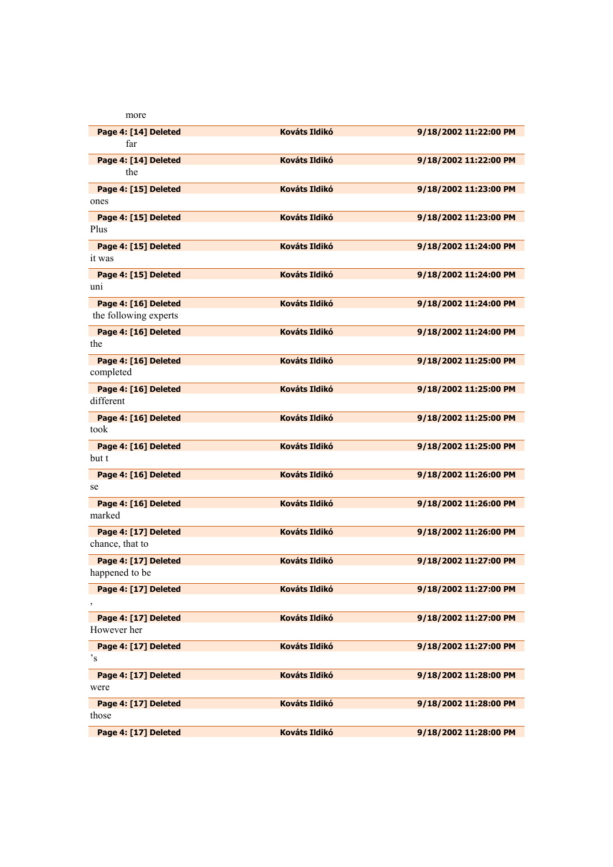| more                  |                      |                       |
|-----------------------|----------------------|-----------------------|
| Page 4: [14] Deleted  | <b>Kováts Ildikó</b> | 9/18/2002 11:22:00 PM |
| far                   |                      |                       |
| Page 4: [14] Deleted  | <b>Kováts Ildikó</b> | 9/18/2002 11:22:00 PM |
| the                   |                      |                       |
| Page 4: [15] Deleted  | <b>Kováts Ildikó</b> | 9/18/2002 11:23:00 PM |
| ones                  |                      |                       |
| Page 4: [15] Deleted  | <b>Kováts Ildikó</b> | 9/18/2002 11:23:00 PM |
| Plus                  |                      |                       |
| Page 4: [15] Deleted  | <b>Kováts Ildikó</b> | 9/18/2002 11:24:00 PM |
| it was                |                      |                       |
| Page 4: [15] Deleted  | <b>Kováts Ildikó</b> | 9/18/2002 11:24:00 PM |
| uni                   |                      |                       |
| Page 4: [16] Deleted  | <b>Kováts Ildikó</b> | 9/18/2002 11:24:00 PM |
| the following experts |                      |                       |
| Page 4: [16] Deleted  | <b>Kováts Ildikó</b> | 9/18/2002 11:24:00 PM |
| the                   |                      |                       |
| Page 4: [16] Deleted  | <b>Kováts Ildikó</b> | 9/18/2002 11:25:00 PM |
| completed             |                      |                       |
| Page 4: [16] Deleted  | <b>Kováts Ildikó</b> | 9/18/2002 11:25:00 PM |
| different             |                      |                       |
| Page 4: [16] Deleted  | <b>Kováts Ildikó</b> | 9/18/2002 11:25:00 PM |
| took                  |                      |                       |
| Page 4: [16] Deleted  | <b>Kováts Ildikó</b> | 9/18/2002 11:25:00 PM |
| but t                 |                      |                       |
| Page 4: [16] Deleted  | <b>Kováts Ildikó</b> | 9/18/2002 11:26:00 PM |
| se                    |                      |                       |
| Page 4: [16] Deleted  | <b>Kováts Ildikó</b> | 9/18/2002 11:26:00 PM |
| marked                |                      |                       |
| Page 4: [17] Deleted  | <b>Kováts Ildikó</b> | 9/18/2002 11:26:00 PM |
| chance, that to       |                      |                       |
| Page 4: [17] Deleted  | <b>Kováts Ildikó</b> | 9/18/2002 11:27:00 PM |
| happened to be        |                      |                       |
| Page 4: [17] Deleted  | <b>Kováts Ildikó</b> | 9/18/2002 11:27:00 PM |
|                       |                      |                       |
| Page 4: [17] Deleted  | Kováts Ildikó        | 9/18/2002 11:27:00 PM |
| However her           |                      |                       |
| Page 4: [17] Deleted  | <b>Kováts Ildikó</b> | 9/18/2002 11:27:00 PM |
| $\mathbf{S}^{\prime}$ |                      |                       |
| Page 4: [17] Deleted  | <b>Kováts Ildikó</b> | 9/18/2002 11:28:00 PM |
| were                  |                      |                       |
| Page 4: [17] Deleted  | <b>Kováts Ildikó</b> | 9/18/2002 11:28:00 PM |
| those                 |                      |                       |
| Page 4: [17] Deleted  | <b>Kováts Ildikó</b> | 9/18/2002 11:28:00 PM |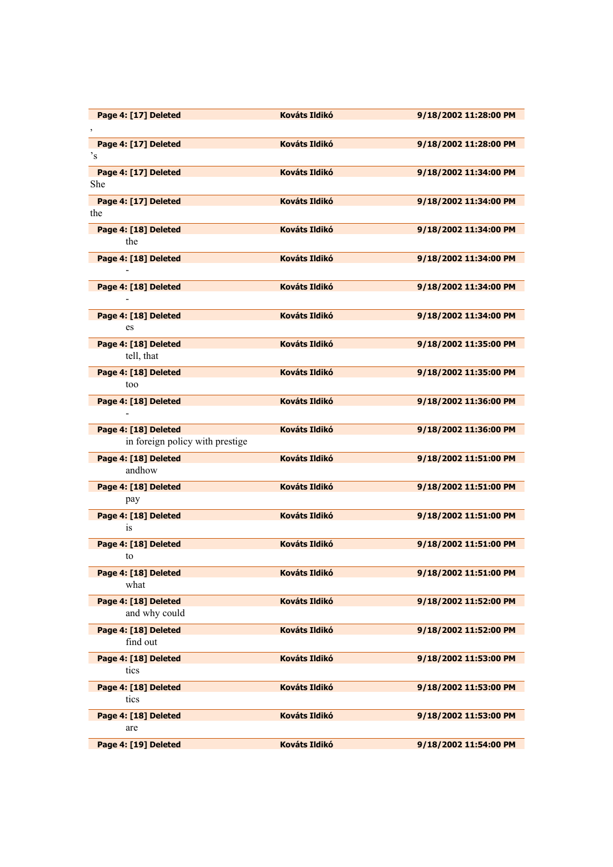| Page 4: [17] Deleted              | <b>Kováts Ildikó</b> | 9/18/2002 11:28:00 PM                                                                            |
|-----------------------------------|----------------------|--------------------------------------------------------------------------------------------------|
| Page 4: [17] Deleted              | <b>Kováts Ildikó</b> | 9/18/2002 11:28:00 PM                                                                            |
| $\mathbf{S}^{\dagger}$            |                      |                                                                                                  |
| Page 4: [17] Deleted              | <b>Kováts Ildikó</b> | 9/18/2002 11:34:00 PM                                                                            |
| She                               |                      |                                                                                                  |
| Page 4: [17] Deleted<br>the       | <b>Kováts Ildikó</b> | 9/18/2002 11:34:00 PM                                                                            |
| Page 4: [18] Deleted              | <b>Kováts Ildikó</b> | 9/18/2002 11:34:00 PM                                                                            |
| the                               |                      |                                                                                                  |
| Page 4: [18] Deleted              | <b>Kováts Ildikó</b> | 9/18/2002 11:34:00 PM                                                                            |
| $\blacksquare$                    |                      |                                                                                                  |
| Page 4: [18] Deleted              | <b>Kováts Ildikó</b> | 9/18/2002 11:34:00 PM                                                                            |
|                                   | <b>Kováts Ildikó</b> |                                                                                                  |
| Page 4: [18] Deleted<br>es        |                      | 9/18/2002 11:34:00 PM                                                                            |
| Page 4: [18] Deleted              | <b>Kováts Ildikó</b> | 9/18/2002 11:35:00 PM                                                                            |
| tell, that                        |                      |                                                                                                  |
| Page 4: [18] Deleted              | <b>Kováts Ildikó</b> | 9/18/2002 11:35:00 PM                                                                            |
| too                               |                      |                                                                                                  |
| Page 4: [18] Deleted              | <b>Kováts Ildikó</b> | 9/18/2002 11:36:00 PM                                                                            |
| Page 4: [18] Deleted              | <b>Kováts Ildikó</b> | 9/18/2002 11:36:00 PM                                                                            |
| in foreign policy with prestige   |                      |                                                                                                  |
| Page 4: [18] Deleted              | <b>Kováts Ildikó</b> | 9/18/2002 11:51:00 PM                                                                            |
| andhow                            |                      |                                                                                                  |
| Page 4: [18] Deleted              | <b>Kováts Ildikó</b> | 9/18/2002 11:51:00 PM                                                                            |
| pay                               |                      |                                                                                                  |
|                                   |                      |                                                                                                  |
| Page 4: [18] Deleted<br><i>is</i> | <b>Kováts Ildikó</b> |                                                                                                  |
|                                   | <b>Kováts Ildikó</b> | 9/18/2002 11:51:00 PM                                                                            |
| Page 4: [18] Deleted<br>to        |                      | 9/18/2002 11:51:00 PM                                                                            |
| Page 4: [18] Deleted              | Kováts Ildikó        | 9/18/2002 11:51:00 PM                                                                            |
| what                              |                      |                                                                                                  |
| Page 4: [18] Deleted              | <b>Kováts Ildikó</b> |                                                                                                  |
| and why could                     | <b>Kováts Ildikó</b> |                                                                                                  |
| Page 4: [18] Deleted<br>find out  |                      |                                                                                                  |
| Page 4: [18] Deleted              | <b>Kováts Ildikó</b> |                                                                                                  |
| tics                              |                      |                                                                                                  |
| Page 4: [18] Deleted              | <b>Kováts Ildikó</b> | 9/18/2002 11:52:00 PM<br>9/18/2002 11:52:00 PM<br>9/18/2002 11:53:00 PM<br>9/18/2002 11:53:00 PM |
| tics                              |                      |                                                                                                  |
| Page 4: [18] Deleted<br>are       | <b>Kováts Ildikó</b> | 9/18/2002 11:53:00 PM                                                                            |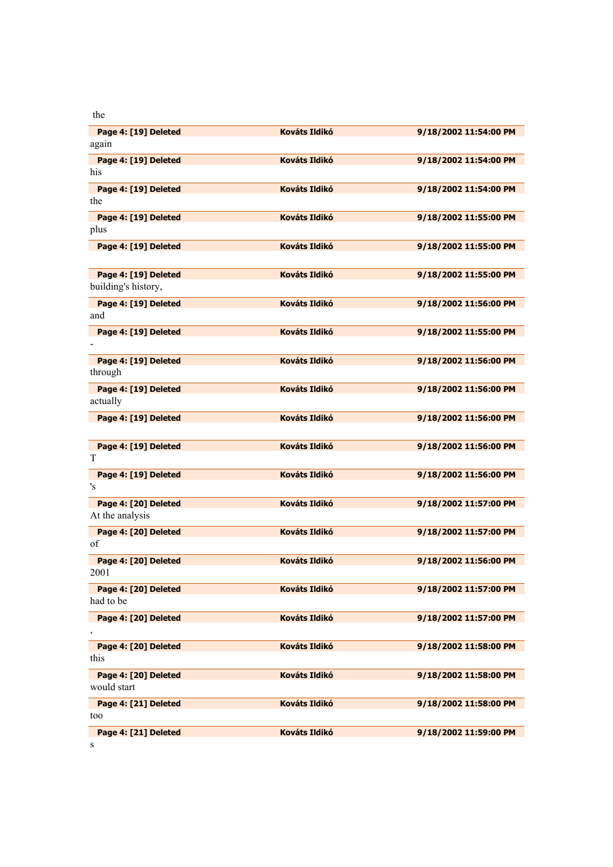the

| Page 4: [19] Deleted | <b>Kováts Ildikó</b> | 9/18/2002 11:54:00 PM |
|----------------------|----------------------|-----------------------|
| again                |                      |                       |
|                      |                      |                       |
| Page 4: [19] Deleted | <b>Kováts Ildikó</b> | 9/18/2002 11:54:00 PM |
| his                  |                      |                       |
| Page 4: [19] Deleted | <b>Kováts Ildikó</b> | 9/18/2002 11:54:00 PM |
| the                  |                      |                       |
|                      |                      |                       |
| Page 4: [19] Deleted | <b>Kováts Ildikó</b> | 9/18/2002 11:55:00 PM |
| plus                 |                      |                       |
|                      |                      |                       |
| Page 4: [19] Deleted | <b>Kováts Ildikó</b> | 9/18/2002 11:55:00 PM |
|                      |                      |                       |
| Page 4: [19] Deleted | <b>Kováts Ildikó</b> | 9/18/2002 11:55:00 PM |
| building's history,  |                      |                       |
|                      |                      |                       |
| Page 4: [19] Deleted | <b>Kováts Ildikó</b> | 9/18/2002 11:56:00 PM |
| and                  |                      |                       |
|                      |                      |                       |
| Page 4: [19] Deleted | <b>Kováts Ildikó</b> | 9/18/2002 11:55:00 PM |
|                      |                      |                       |
| Page 4: [19] Deleted | <b>Kováts Ildikó</b> | 9/18/2002 11:56:00 PM |
| through              |                      |                       |
|                      |                      |                       |
| Page 4: [19] Deleted | <b>Kováts Ildikó</b> | 9/18/2002 11:56:00 PM |
| actually             |                      |                       |
|                      |                      |                       |
| Page 4: [19] Deleted | <b>Kováts Ildikó</b> | 9/18/2002 11:56:00 PM |
|                      |                      |                       |
| Page 4: [19] Deleted | <b>Kováts Ildikó</b> | 9/18/2002 11:56:00 PM |
| T                    |                      |                       |
|                      |                      |                       |
| Page 4: [19] Deleted | <b>Kováts Ildikó</b> | 9/18/2002 11:56:00 PM |
| 's                   |                      |                       |
|                      |                      |                       |
| Page 4: [20] Deleted | <b>Kováts Ildikó</b> | 9/18/2002 11:57:00 PM |
| At the analysis      |                      |                       |
| Page 4: [20] Deleted | <b>Kováts Ildikó</b> | 9/18/2002 11:57:00 PM |
| of                   |                      |                       |
|                      |                      |                       |
| Page 4: [20] Deleted | <b>Kováts Ildikó</b> | 9/18/2002 11:56:00 PM |
| 2001                 |                      |                       |
|                      |                      |                       |
| Page 4: [20] Deleted | <b>Kováts Ildikó</b> | 9/18/2002 11:57:00 PM |
| had to be            |                      |                       |
| Page 4: [20] Deleted | Kováts Ildikó        | 9/18/2002 11:57:00 PM |
|                      |                      |                       |
|                      |                      |                       |
| Page 4: [20] Deleted | <b>Kováts Ildikó</b> | 9/18/2002 11:58:00 PM |
| this                 |                      |                       |
|                      |                      |                       |
| Page 4: [20] Deleted | <b>Kováts Ildikó</b> | 9/18/2002 11:58:00 PM |
| would start          |                      |                       |
| Page 4: [21] Deleted | Kováts Ildikó        | 9/18/2002 11:58:00 PM |
|                      |                      |                       |
| too                  |                      |                       |
| Page 4: [21] Deleted | Kováts Ildikó        | 9/18/2002 11:59:00 PM |
| S                    |                      |                       |
|                      |                      |                       |